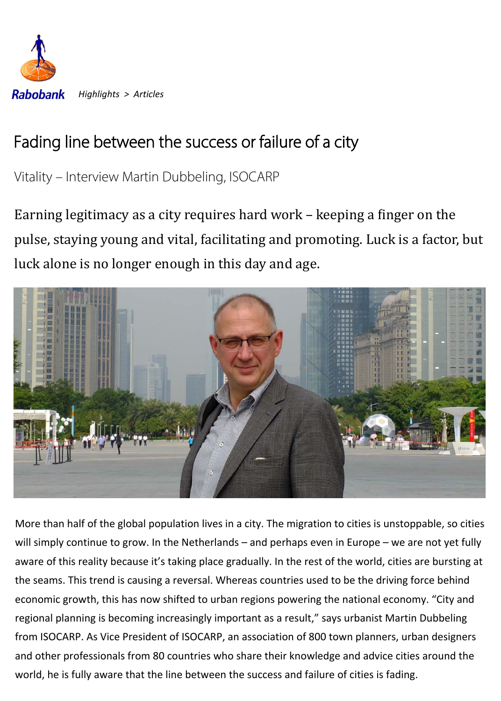

# Fading line between the success or failure of a city

Vitality – Interview Martin Dubbeling, ISOCARP

Earning legitimacy as a city requires hard work - keeping a finger on the pulse, staying young and vital, facilitating and promoting. Luck is a factor, but luck alone is no longer enough in this day and age.



More than half of the global population lives in a city. The migration to cities is unstoppable, so cities will simply continue to grow. In the Netherlands – and perhaps even in Europe – we are not yet fully aware of this reality because it's taking place gradually. In the rest of the world, cities are bursting at the seams. This trend is causing a reversal. Whereas countries used to be the driving force behind economic growth, this has now shifted to urban regions powering the national economy. "City and regional planning is becoming increasingly important as a result," says urbanist Martin Dubbeling from ISOCARP. As Vice President of ISOCARP, an association of 800 town planners, urban designers and other professionals from 80 countries who share their knowledge and advice cities around the world, he is fully aware that the line between the success and failure of cities is fading.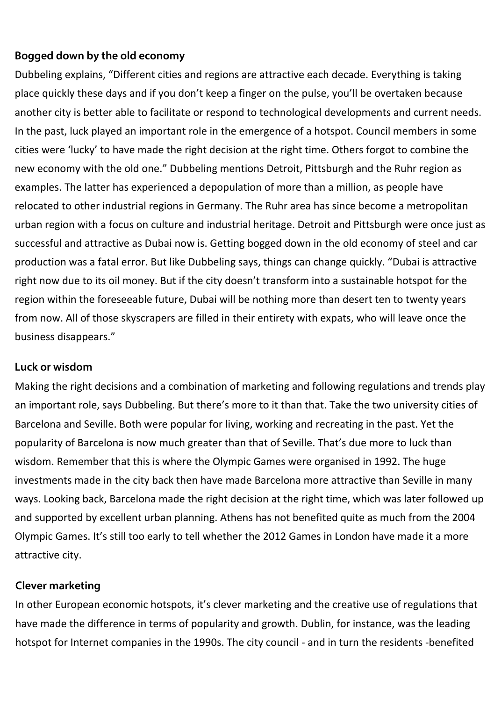## Bogged down by the old economy

Dubbeling explains, "Different cities and regions are attractive each decade. Everything is taking place quickly these days and if you don't keep a finger on the pulse, you'll be overtaken because another city is better able to facilitate or respond to technological developments and current needs. In the past, luck played an important role in the emergence of a hotspot. Council members in some cities were 'lucky' to have made the right decision at the right time. Others forgot to combine the new economy with the old one." Dubbeling mentions Detroit, Pittsburgh and the Ruhr region as examples. The latter has experienced a depopulation of more than a million, as people have relocated to other industrial regions in Germany. The Ruhr area has since become a metropolitan urban region with a focus on culture and industrial heritage. Detroit and Pittsburgh were once just as successful and attractive as Dubai now is. Getting bogged down in the old economy of steel and car production was a fatal error. But like Dubbeling says, things can change quickly. "Dubai is attractive right now due to its oil money. But if the city doesn't transform into a sustainable hotspot for the region within the foreseeable future, Dubai will be nothing more than desert ten to twenty years from now. All of those skyscrapers are filled in their entirety with expats, who will leave once the business disappears."

## Luck or wisdom

Making the right decisions and a combination of marketing and following regulations and trends play an important role, says Dubbeling. But there's more to it than that. Take the two university cities of Barcelona and Seville. Both were popular for living, working and recreating in the past. Yet the popularity of Barcelona is now much greater than that of Seville. That's due more to luck than wisdom. Remember that this is where the Olympic Games were organised in 1992. The huge investments made in the city back then have made Barcelona more attractive than Seville in many ways. Looking back, Barcelona made the right decision at the right time, which was later followed up and supported by excellent urban planning. Athens has not benefited quite as much from the 2004 Olympic Games. It's still too early to tell whether the 2012 Games in London have made it a more attractive city.

## Clever marketing

In other European economic hotspots, it's clever marketing and the creative use of regulations that have made the difference in terms of popularity and growth. Dublin, for instance, was the leading hotspot for Internet companies in the 1990s. The city council - and in turn the residents -benefited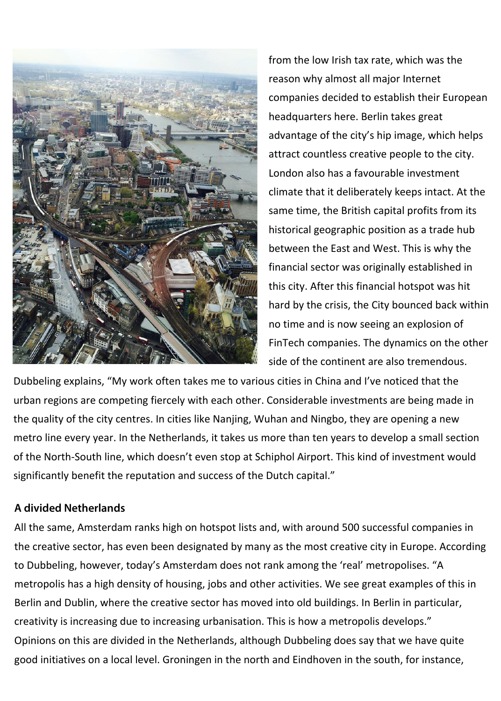

from the low Irish tax rate, which was the reason why almost all major Internet companies decided to establish their European headquarters here. Berlin takes great advantage of the city's hip image, which helps attract countless creative people to the city. London also has a favourable investment climate that it deliberately keeps intact. At the same time, the British capital profits from its historical geographic position as a trade hub between the East and West. This is why the financial sector was originally established in this city. After this financial hotspot was hit hard by the crisis, the City bounced back within no time and is now seeing an explosion of FinTech companies. The dynamics on the other side of the continent are also tremendous.

Dubbeling explains, "My work often takes me to various cities in China and I've noticed that the urban regions are competing fiercely with each other. Considerable investments are being made in the quality of the city centres. In cities like Nanjing, Wuhan and Ningbo, they are opening a new metro line every year. In the Netherlands, it takes us more than ten years to develop a small section of the North-South line, which doesn't even stop at Schiphol Airport. This kind of investment would significantly benefit the reputation and success of the Dutch capital."

## A divided Netherlands

All the same, Amsterdam ranks high on hotspot lists and, with around 500 successful companies in the creative sector, has even been designated by many as the most creative city in Europe. According to Dubbeling, however, today's Amsterdam does not rank among the 'real' metropolises. "A metropolis has a high density of housing, jobs and other activities. We see great examples of this in Berlin and Dublin, where the creative sector has moved into old buildings. In Berlin in particular, creativity is increasing due to increasing urbanisation. This is how a metropolis develops." Opinions on this are divided in the Netherlands, although Dubbeling does say that we have quite good initiatives on a local level. Groningen in the north and Eindhoven in the south, for instance,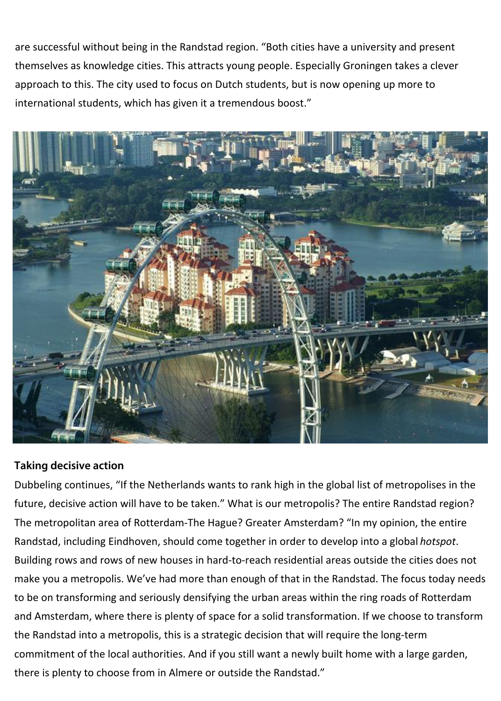are successful without being in the Randstad region. "Both cities have a university and present themselves as knowledge cities. This attracts young people. Especially Groningen takes a clever approach to this. The city used to focus on Dutch students, but is now opening up more to international students, which has given it a tremendous boost."



## Taking decisive action

Dubbeling continues, "If the Netherlands wants to rank high in the global list of metropolises in the future, decisive action will have to be taken." What is our metropolis? The entire Randstad region? The metropolitan area of Rotterdam-The Hague? Greater Amsterdam? "In my opinion, the entire Randstad, including Eindhoven, should come together in order to develop into a global *hotspot*. Building rows and rows of new houses in hard-to-reach residential areas outside the cities does not make you a metropolis. We've had more than enough of that in the Randstad. The focus today needs to be on transforming and seriously densifying the urban areas within the ring roads of Rotterdam and Amsterdam, where there is plenty of space for a solid transformation. If we choose to transform the Randstad into a metropolis, this is a strategic decision that will require the long-term commitment of the local authorities. And if you still want a newly built home with a large garden, there is plenty to choose from in Almere or outside the Randstad."